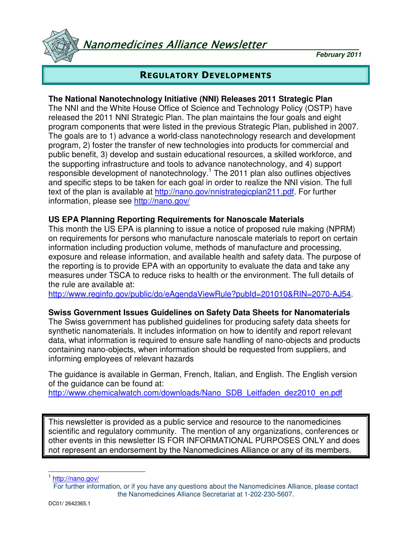Nanomedicines Alliance Newsletter

**February 2011**

# REGULATORY DEVELOPMENTS

## **The National Nanotechnology Initiative (NNI) Releases 2011 Strategic Plan**

The NNI and the White House Office of Science and Technology Policy (OSTP) have released the 2011 NNI Strategic Plan. The plan maintains the four goals and eight program components that were listed in the previous Strategic Plan, published in 2007. The goals are to 1) advance a world-class nanotechnology research and development program, 2) foster the transfer of new technologies into products for commercial and public benefit, 3) develop and sustain educational resources, a skilled workforce, and the supporting infrastructure and tools to advance nanotechnology, and 4) support responsible development of nanotechnology.<sup>1</sup> The 2011 plan also outlines objectives and specific steps to be taken for each goal in order to realize the NNI vision. The full text of the plan is available at http://nano.gov/nnistrategicplan211.pdf. For further information, please see http://nano.gov/

## **US EPA Planning Reporting Requirements for Nanoscale Materials**

This month the US EPA is planning to issue a notice of proposed rule making (NPRM) on requirements for persons who manufacture nanoscale materials to report on certain information including production volume, methods of manufacture and processing, exposure and release information, and available health and safety data. The purpose of the reporting is to provide EPA with an opportunity to evaluate the data and take any measures under TSCA to reduce risks to health or the environment. The full details of the rule are available at:

http://www.reginfo.gov/public/do/eAgendaViewRule?pubId=201010&RIN=2070-AJ54.

#### **Swiss Government Issues Guidelines on Safety Data Sheets for Nanomaterials**

The Swiss government has published guidelines for producing safety data sheets for synthetic nanomaterials. It includes information on how to identify and report relevant data, what information is required to ensure safe handling of nano-objects and products containing nano-objects, when information should be requested from suppliers, and informing employees of relevant hazards

The guidance is available in German, French, Italian, and English. The English version of the guidance can be found at:

http://www.chemicalwatch.com/downloads/Nano\_SDB\_Leitfaden\_dez2010\_en.pdf

This newsletter is provided as a public service and resource to the nanomedicines scientific and regulatory community. The mention of any organizations, conferences or other events in this newsletter IS FOR INFORMATIONAL PURPOSES ONLY and does not represent an endorsement by the Nanomedicines Alliance or any of its members.

1<br><sup>1</sup> http://nano.gov/

For further information, or if you have any questions about the Nanomedicines Alliance, please contact the Nanomedicines Alliance Secretariat at 1-202-230-5607.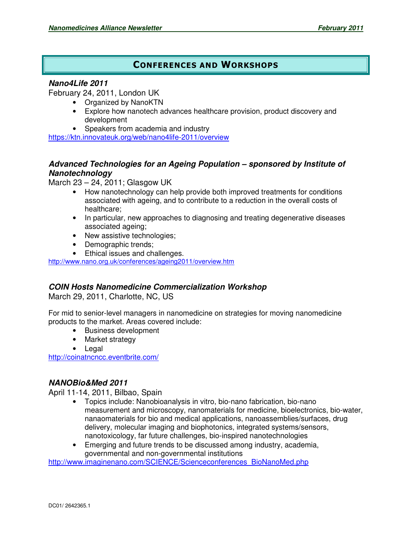# CONFERENCES AND WORKSHOPS

#### **Nano4Life 2011**

February 24, 2011, London UK

- Organized by NanoKTN
	- Explore how nanotech advances healthcare provision, product discovery and development
- Speakers from academia and industry

https://ktn.innovateuk.org/web/nano4life-2011/overview

## **Advanced Technologies for an Ageing Population – sponsored by Institute of Nanotechnology**

March 23 – 24, 2011; Glasgow UK

- How nanotechnology can help provide both improved treatments for conditions associated with ageing, and to contribute to a reduction in the overall costs of healthcare;
- In particular, new approaches to diagnosing and treating degenerative diseases associated ageing;
- New assistive technologies;
- Demographic trends;
- Ethical issues and challenges.

http://www.nano.org.uk/conferences/ageing2011/overview.htm

#### **COIN Hosts Nanomedicine Commercialization Workshop**

March 29, 2011, Charlotte, NC, US

For mid to senior-level managers in nanomedicine on strategies for moving nanomedicine products to the market. Areas covered include:

- Business development
- Market strategy
- Legal

http://coinatncncc.eventbrite.com/

#### **NANOBio&Med 2011**

April 11-14, 2011, Bilbao, Spain

- Topics include: Nanobioanalysis in vitro, bio-nano fabrication, bio-nano measurement and microscopy, nanomaterials for medicine, bioelectronics, bio-water, nanaomaterials for bio and medical applications, nanoassemblies/surfaces, drug delivery, molecular imaging and biophotonics, integrated systems/sensors, nanotoxicology, far future challenges, bio-inspired nanotechnologies
- Emerging and future trends to be discussed among industry, academia, governmental and non-governmental institutions

http://www.imaginenano.com/SCIENCE/Scienceconferences\_BioNanoMed.php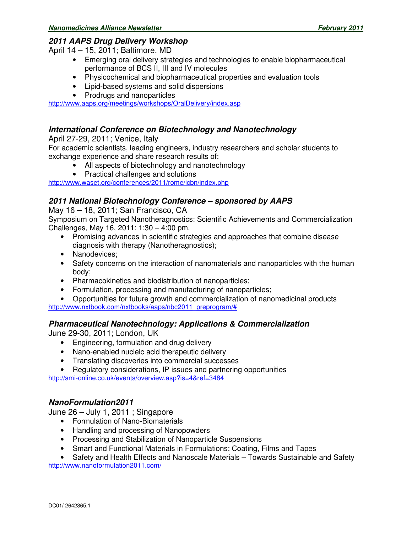## **2011 AAPS Drug Delivery Workshop**

April 14 – 15, 2011; Baltimore, MD

- Emerging oral delivery strategies and technologies to enable biopharmaceutical performance of BCS II, III and IV molecules
- Physicochemical and biopharmaceutical properties and evaluation tools
- Lipid-based systems and solid dispersions
- Prodrugs and nanoparticles

http://www.aaps.org/meetings/workshops/OralDelivery/index.asp

#### **International Conference on Biotechnology and Nanotechnology**

April 27-29, 2011; Venice, Italy

For academic scientists, leading engineers, industry researchers and scholar students to exchange experience and share research results of:

- All aspects of biotechnology and nanotechnology
- Practical challenges and solutions

http://www.waset.org/conferences/2011/rome/icbn/index.php

#### **2011 National Biotechnology Conference – sponsored by AAPS**

May 16 – 18, 2011; San Francisco, CA

Symposium on Targeted Nanotheragnostics: Scientific Achievements and Commercialization Challenges, May 16, 2011: 1:30 – 4:00 pm.

- Promising advances in scientific strategies and approaches that combine disease diagnosis with therapy (Nanotheragnostics);
- Nanodevices:
- Safety concerns on the interaction of nanomaterials and nanoparticles with the human body;
- Pharmacokinetics and biodistribution of nanoparticles;
- Formulation, processing and manufacturing of nanoparticles;
- Opportunities for future growth and commercialization of nanomedicinal products http://www.nxtbook.com/nxtbooks/aaps/nbc2011\_preprogram/#

#### **Pharmaceutical Nanotechnology: Applications & Commercialization**

June 29-30, 2011; London, UK

- Engineering, formulation and drug delivery
- Nano-enabled nucleic acid therapeutic delivery
- Translating discoveries into commercial successes
- Regulatory considerations, IP issues and partnering opportunities

http://smi-online.co.uk/events/overview.asp?is=4&ref=3484

#### **NanoFormulation2011**

June 26 – July 1, 2011 ; Singapore

- Formulation of Nano-Biomaterials
- Handling and processing of Nanopowders
- Processing and Stabilization of Nanoparticle Suspensions
- Smart and Functional Materials in Formulations: Coating, Films and Tapes

• Safety and Health Effects and Nanoscale Materials – Towards Sustainable and Safety http://www.nanoformulation2011.com/